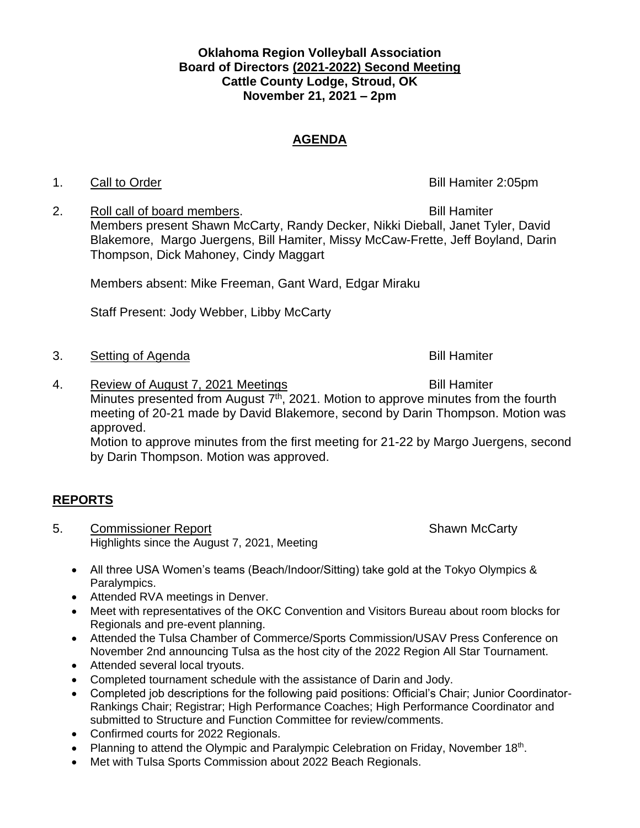### **Oklahoma Region Volleyball Association Board of Directors (2021-2022) Second Meeting Cattle County Lodge, Stroud, OK November 21, 2021 – 2pm**

## **AGENDA**

### 1. Call to Order **Bill Hamiter 2:05pm**

2. Roll call of board members. The same section of the Bill Hamiter Members present Shawn McCarty, Randy Decker, Nikki Dieball, Janet Tyler, David Blakemore, Margo Juergens, Bill Hamiter, Missy McCaw-Frette, Jeff Boyland, Darin Thompson, Dick Mahoney, Cindy Maggart

Members absent: Mike Freeman, Gant Ward, Edgar Miraku

Staff Present: Jody Webber, Libby McCarty

- 3. Setting of Agenda Bill Hamiter
- 4. Review of August 7, 2021 Meetings and the Control Bill Hamiter Minutes presented from August  $7<sup>th</sup>$ , 2021. Motion to approve minutes from the fourth meeting of 20-21 made by David Blakemore, second by Darin Thompson. Motion was approved. Motion to approve minutes from the first meeting for 21-22 by Margo Juergens, second by Darin Thompson. Motion was approved.

# **REPORTS**

- 5. Commissioner Report Shawn McCarty Highlights since the August 7, 2021, Meeting
	- All three USA Women's teams (Beach/Indoor/Sitting) take gold at the Tokyo Olympics & Paralympics.
	- Attended RVA meetings in Denver.
	- Meet with representatives of the OKC Convention and Visitors Bureau about room blocks for Regionals and pre-event planning.
	- Attended the Tulsa Chamber of Commerce/Sports Commission/USAV Press Conference on November 2nd announcing Tulsa as the host city of the 2022 Region All Star Tournament.
	- Attended several local tryouts.
	- Completed tournament schedule with the assistance of Darin and Jody.
	- Completed job descriptions for the following paid positions: Official's Chair; Junior Coordinator-Rankings Chair; Registrar; High Performance Coaches; High Performance Coordinator and submitted to Structure and Function Committee for review/comments.
	- Confirmed courts for 2022 Regionals.
	- Planning to attend the Olympic and Paralympic Celebration on Friday, November 18<sup>th</sup>.
	- Met with Tulsa Sports Commission about 2022 Beach Regionals.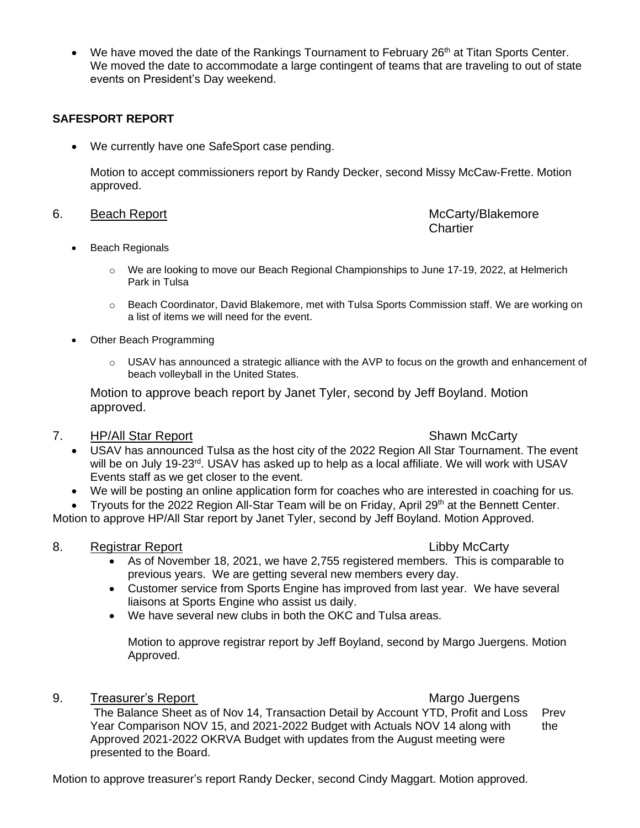• We have moved the date of the Rankings Tournament to February  $26<sup>th</sup>$  at Titan Sports Center. We moved the date to accommodate a large contingent of teams that are traveling to out of state events on President's Day weekend.

### **SAFESPORT REPORT**

• We currently have one SafeSport case pending.

Motion to accept commissioners report by Randy Decker, second Missy McCaw-Frette. Motion approved.

### 6. Beach Report **McCarty/Blakemore** McCarty/Blakemore

# **Chartier**

- Beach Regionals
	- o We are looking to move our Beach Regional Championships to June 17-19, 2022, at Helmerich Park in Tulsa
	- o Beach Coordinator, David Blakemore, met with Tulsa Sports Commission staff. We are working on a list of items we will need for the event.
- Other Beach Programming
	- $\circ$  USAV has announced a strategic alliance with the AVP to focus on the growth and enhancement of beach volleyball in the United States.

Motion to approve beach report by Janet Tyler, second by Jeff Boyland. Motion approved.

### 7. HP/All Star Report Shawn McCarty

- USAV has announced Tulsa as the host city of the 2022 Region All Star Tournament. The event will be on July 19-23<sup>rd</sup>. USAV has asked up to help as a local affiliate. We will work with USAV Events staff as we get closer to the event.
- We will be posting an online application form for coaches who are interested in coaching for us.

• Tryouts for the 2022 Region All-Star Team will be on Friday, April 29th at the Bennett Center.

Motion to approve HP/All Star report by Janet Tyler, second by Jeff Boyland. Motion Approved.

### 8. Registrar Report **Report** Constants and Constants Constants Constants Constants Constants Constants Constants Constants Constants Constants Constants Constants Constants Constants Constants Constants Constants Constants

- As of November 18, 2021, we have 2,755 registered members. This is comparable to previous years. We are getting several new members every day.
- Customer service from Sports Engine has improved from last year. We have several liaisons at Sports Engine who assist us daily.
- We have several new clubs in both the OKC and Tulsa areas.

Motion to approve registrar report by Jeff Boyland, second by Margo Juergens. Motion Approved.

9. Treasurer's Report **Margo Juergens** Margo Juergens

The Balance Sheet as of Nov 14, Transaction Detail by Account YTD, Profit and Loss Prev Year Comparison NOV 15, and 2021-2022 Budget with Actuals NOV 14 along with the Approved 2021-2022 OKRVA Budget with updates from the August meeting were presented to the Board.

Motion to approve treasurer's report Randy Decker, second Cindy Maggart. Motion approved.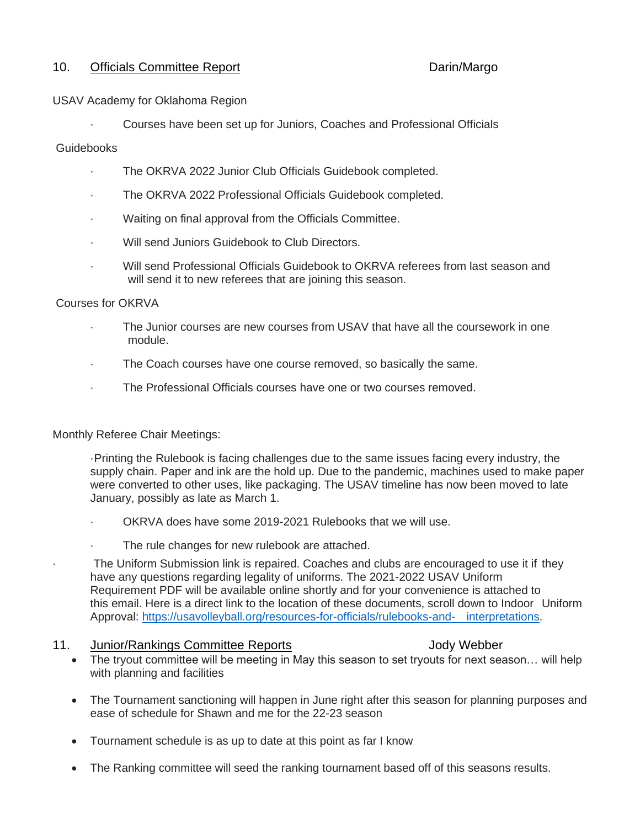#### 10. Officials Committee Report **Daring Committee Report** Darin/Margo

#### USAV Academy for Oklahoma Region

· Courses have been set up for Juniors, Coaches and Professional Officials

#### **Guidebooks**

- The OKRVA 2022 Junior Club Officials Guidebook completed.
- The OKRVA 2022 Professional Officials Guidebook completed.
- Waiting on final approval from the Officials Committee.
- Will send Juniors Guidebook to Club Directors.
- Will send Professional Officials Guidebook to OKRVA referees from last season and will send it to new referees that are joining this season.

#### Courses for OKRVA

- The Junior courses are new courses from USAV that have all the coursework in one module.
- · The Coach courses have one course removed, so basically the same.
- · The Professional Officials courses have one or two courses removed.

Monthly Referee Chair Meetings:

·Printing the Rulebook is facing challenges due to the same issues facing every industry, the supply chain. Paper and ink are the hold up. Due to the pandemic, machines used to make paper were converted to other uses, like packaging. The USAV timeline has now been moved to late January, possibly as late as March 1.

- · OKRVA does have some 2019-2021 Rulebooks that we will use.
- The rule changes for new rulebook are attached.

The Uniform Submission link is repaired. Coaches and clubs are encouraged to use it if they have any questions regarding legality of uniforms. The 2021-2022 USAV Uniform Requirement PDF will be available online shortly and for your convenience is attached to this email. Here is a direct link to the location of these documents, scroll down to Indoor Uniform Approval: [https://usavolleyball.org/resources-for-officials/rulebooks-and-](https://usavolleyball.org/resources-for-officials/rulebooks-and-interpretations) interpretations.

#### 11. Junior/Rankings Committee Reports **11. In the Union Victor**

- The tryout committee will be meeting in May this season to set tryouts for next season… will help with planning and facilities
- The Tournament sanctioning will happen in June right after this season for planning purposes and ease of schedule for Shawn and me for the 22-23 season
- Tournament schedule is as up to date at this point as far I know
- The Ranking committee will seed the ranking tournament based off of this seasons results.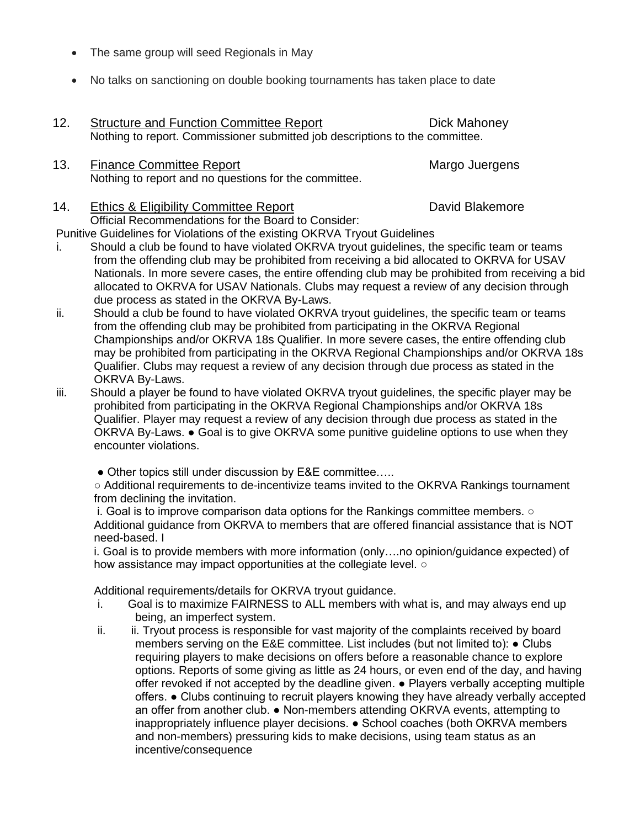- The same group will seed Regionals in May
- No talks on sanctioning on double booking tournaments has taken place to date
- 12. Structure and Function Committee Report **Dick Mahoney** Nothing to report. Commissioner submitted job descriptions to the committee.
- 13. Finance Committee Report Margo Juergens Nothing to report and no questions for the committee.

# 14. Ethics & Eligibility Committee Report **Electer Section** David Blakemore

Official Recommendations for the Board to Consider: Punitive Guidelines for Violations of the existing OKRVA Tryout Guidelines

- i. Should a club be found to have violated OKRVA tryout guidelines, the specific team or teams from the offending club may be prohibited from receiving a bid allocated to OKRVA for USAV Nationals. In more severe cases, the entire offending club may be prohibited from receiving a bid allocated to OKRVA for USAV Nationals. Clubs may request a review of any decision through due process as stated in the OKRVA By-Laws.
- ii. Should a club be found to have violated OKRVA tryout guidelines, the specific team or teams from the offending club may be prohibited from participating in the OKRVA Regional Championships and/or OKRVA 18s Qualifier. In more severe cases, the entire offending club may be prohibited from participating in the OKRVA Regional Championships and/or OKRVA 18s Qualifier. Clubs may request a review of any decision through due process as stated in the OKRVA By-Laws.
- iii. Should a player be found to have violated OKRVA tryout guidelines, the specific player may be prohibited from participating in the OKRVA Regional Championships and/or OKRVA 18s Qualifier. Player may request a review of any decision through due process as stated in the OKRVA By-Laws. ● Goal is to give OKRVA some punitive guideline options to use when they encounter violations.
	- Other topics still under discussion by E&E committee.....

○ Additional requirements to de-incentivize teams invited to the OKRVA Rankings tournament from declining the invitation.

i. Goal is to improve comparison data options for the Rankings committee members. ○ Additional guidance from OKRVA to members that are offered financial assistance that is NOT need-based. I

i. Goal is to provide members with more information (only….no opinion/guidance expected) of how assistance may impact opportunities at the collegiate level. ○

Additional requirements/details for OKRVA tryout guidance.

- i. Goal is to maximize FAIRNESS to ALL members with what is, and may always end up being, an imperfect system.
- ii. ii. Tryout process is responsible for vast majority of the complaints received by board members serving on the E&E committee. List includes (but not limited to): ● Clubs requiring players to make decisions on offers before a reasonable chance to explore options. Reports of some giving as little as 24 hours, or even end of the day, and having offer revoked if not accepted by the deadline given. ● Players verbally accepting multiple offers. ● Clubs continuing to recruit players knowing they have already verbally accepted an offer from another club. ● Non-members attending OKRVA events, attempting to inappropriately influence player decisions. ● School coaches (both OKRVA members and non-members) pressuring kids to make decisions, using team status as an incentive/consequence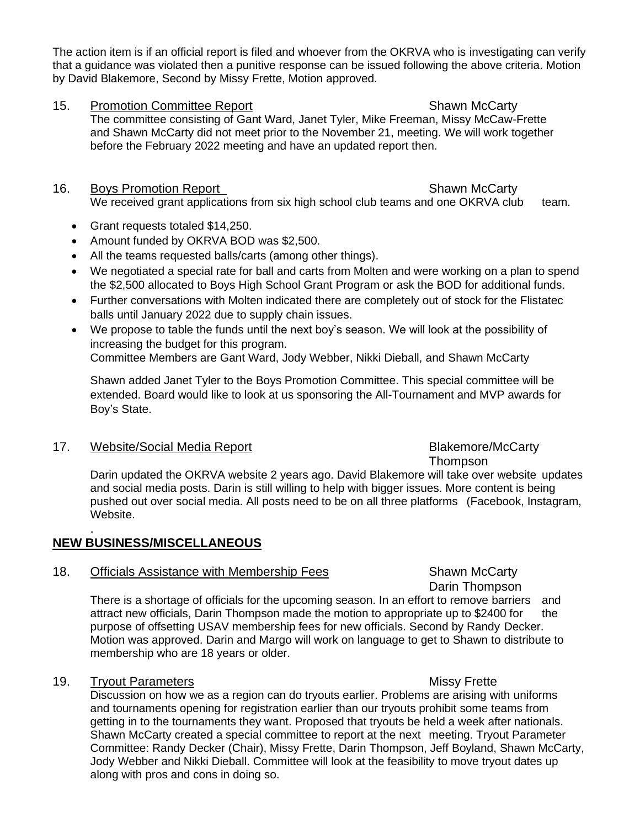The action item is if an official report is filed and whoever from the OKRVA who is investigating can verify that a guidance was violated then a punitive response can be issued following the above criteria. Motion by David Blakemore, Second by Missy Frette, Motion approved.

- 15. Promotion Committee Report New Shawn McCarty The committee consisting of Gant Ward, Janet Tyler, Mike Freeman, Missy McCaw-Frette and Shawn McCarty did not meet prior to the November 21, meeting. We will work together before the February 2022 meeting and have an updated report then.
- 16. Boys Promotion Report Shawn McCarty We received grant applications from six high school club teams and one OKRVA club team.
	- Grant requests totaled \$14,250.
	- Amount funded by OKRVA BOD was \$2,500.
	- All the teams requested balls/carts (among other things).
	- We negotiated a special rate for ball and carts from Molten and were working on a plan to spend the \$2,500 allocated to Boys High School Grant Program or ask the BOD for additional funds.
	- Further conversations with Molten indicated there are completely out of stock for the Flistatec balls until January 2022 due to supply chain issues.
	- We propose to table the funds until the next boy's season. We will look at the possibility of increasing the budget for this program. Committee Members are Gant Ward, Jody Webber, Nikki Dieball, and Shawn McCarty

Shawn added Janet Tyler to the Boys Promotion Committee. This special committee will be

extended. Board would like to look at us sponsoring the All-Tournament and MVP awards for Boy's State.

# 17. Website/Social Media Report **Blakemore/McCarty**

**Thompson** 

Darin updated the OKRVA website 2 years ago. David Blakemore will take over website updates and social media posts. Darin is still willing to help with bigger issues. More content is being pushed out over social media. All posts need to be on all three platforms (Facebook, Instagram, Website.

### . **NEW BUSINESS/MISCELLANEOUS**

# 18. Officials Assistance with Membership Fees Shawn McCarty

Darin Thompson There is a shortage of officials for the upcoming season. In an effort to remove barriers and attract new officials, Darin Thompson made the motion to appropriate up to \$2400 for the purpose of offsetting USAV membership fees for new officials. Second by Randy Decker. Motion was approved. Darin and Margo will work on language to get to Shawn to distribute to membership who are 18 years or older.

# 19. Tryout Parameters **Missy Frette** Missy Frette

Discussion on how we as a region can do tryouts earlier. Problems are arising with uniforms and tournaments opening for registration earlier than our tryouts prohibit some teams from getting in to the tournaments they want. Proposed that tryouts be held a week after nationals. Shawn McCarty created a special committee to report at the next meeting. Tryout Parameter Committee: Randy Decker (Chair), Missy Frette, Darin Thompson, Jeff Boyland, Shawn McCarty, Jody Webber and Nikki Dieball. Committee will look at the feasibility to move tryout dates up along with pros and cons in doing so.